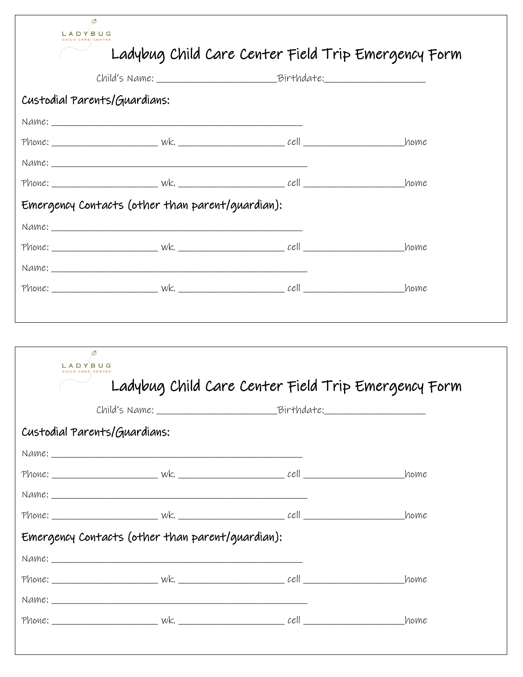| LADYBUG                                             |      |
|-----------------------------------------------------|------|
| Ladybug Child Care Center Field Trip Emergency Form |      |
|                                                     |      |
| Custodial Parents/Guardians:                        |      |
|                                                     |      |
|                                                     |      |
|                                                     |      |
|                                                     | home |
| Emergency Contacts (other than parent/guardian):    |      |
|                                                     |      |
|                                                     |      |
| Name:                                               |      |
|                                                     |      |
|                                                     |      |
|                                                     |      |
| Ø                                                   |      |
| LADYBUG                                             |      |
| Ladybug Child Care Center Field Trip Emergency Form |      |
| Child's Name: Birthdate:                            |      |
| Custodial Parents/Guardians:                        |      |
|                                                     |      |
|                                                     |      |
|                                                     |      |
|                                                     | home |
| Emergency Contacts (other than parent/guardian):    |      |
|                                                     |      |
|                                                     | home |
|                                                     |      |
|                                                     | home |
|                                                     |      |